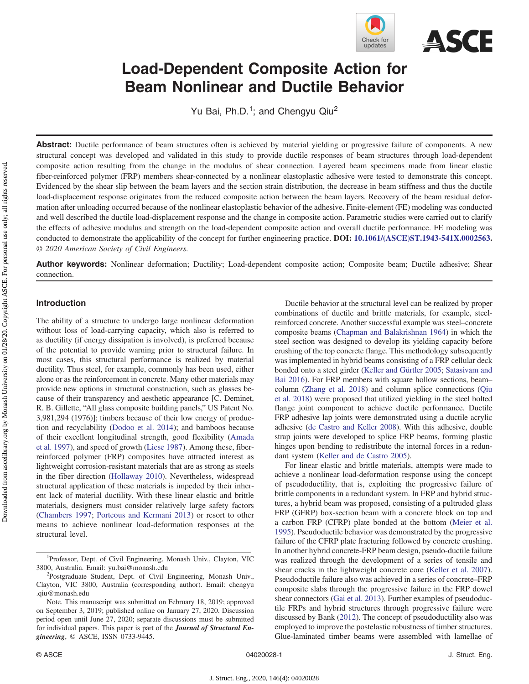

# Load-Dependent Composite Action for Beam Nonlinear and Ductile Behavior

Yu Bai, Ph.D.<sup>1</sup>; and Chengyu Qiu<sup>2</sup>

Abstract: Ductile performance of beam structures often is achieved by material yielding or progressive failure of components. A new structural concept was developed and validated in this study to provide ductile responses of beam structures through load-dependent composite action resulting from the change in the modulus of shear connection. Layered beam specimens made from linear elastic fiber-reinforced polymer (FRP) members shear-connected by a nonlinear elastoplastic adhesive were tested to demonstrate this concept. Evidenced by the shear slip between the beam layers and the section strain distribution, the decrease in beam stiffness and thus the ductile load-displacement response originates from the reduced composite action between the beam layers. Recovery of the beam residual deformation after unloading occurred because of the nonlinear elastoplastic behavior of the adhesive. Finite-element (FE) modeling was conducted and well described the ductile load-displacement response and the change in composite action. Parametric studies were carried out to clarify the effects of adhesive modulus and strength on the load-dependent composite action and overall ductile performance. FE modeling was conducted to demonstrate the applicability of the concept for further engineering practice. DOI: [10.1061/\(ASCE\)ST.1943-541X.0002563.](https://doi.org/10.1061/(ASCE)ST.1943-541X.0002563) © 2020 American Society of Civil Engineers.

Author keywords: Nonlinear deformation; Ductility; Load-dependent composite action; Composite beam; Ductile adhesive; Shear connection.

## Introduction

The ability of a structure to undergo large nonlinear deformation without loss of load-carrying capacity, which also is referred to as ductility (if energy dissipation is involved), is preferred because of the potential to provide warning prior to structural failure. In most cases, this structural performance is realized by material ductility. Thus steel, for example, commonly has been used, either alone or as the reinforcement in concrete. Many other materials may provide new options in structural construction, such as glasses because of their transparency and aesthetic appearance [C. Deminet, R. B. Gillette, "All glass composite building panels," US Patent No. 3,981,294 (1976)]; timbers because of their low energy of production and recyclability ([Dodoo et al. 2014\)](#page-9-0); and bamboos because of their excellent longitudinal strength, good flexibility ([Amada](#page-9-0) [et al. 1997](#page-9-0)), and speed of growth ([Liese 1987](#page-9-0)). Among these, fiberreinforced polymer (FRP) composites have attracted interest as lightweight corrosion-resistant materials that are as strong as steels in the fiber direction ([Hollaway 2010\)](#page-9-0). Nevertheless, widespread structural application of these materials is impeded by their inherent lack of material ductility. With these linear elastic and brittle materials, designers must consider relatively large safety factors [\(Chambers 1997](#page-9-0); [Porteous and Kermani 2013](#page-9-0)) or resort to other means to achieve nonlinear load-deformation responses at the structural level.

J. Struct. Eng., 2020, 146(4): 04020028

Ductile behavior at the structural level can be realized by proper combinations of ductile and brittle materials, for example, steelreinforced concrete. Another successful example was steel–concrete composite beams [\(Chapman and Balakrishnan 1964](#page-9-0)) in which the steel section was designed to develop its yielding capacity before crushing of the top concrete flange. This methodology subsequently was implemented in hybrid beams consisting of a FRP cellular deck bonded onto a steel girder [\(Keller and Gürtler 2005;](#page-9-0) [Satasivam and](#page-10-0) [Bai 2016\)](#page-10-0). For FRP members with square hollow sections, beam– column ([Zhang et al. 2018\)](#page-10-0) and column splice connections ([Qiu](#page-9-0) [et al. 2018](#page-9-0)) were proposed that utilized yielding in the steel bolted flange joint component to achieve ductile performance. Ductile FRP adhesive lap joints were demonstrated using a ductile acrylic adhesive ([de Castro and Keller 2008\)](#page-9-0). With this adhesive, double strap joints were developed to splice FRP beams, forming plastic hinges upon bending to redistribute the internal forces in a redundant system ([Keller and de Castro 2005](#page-9-0)).

For linear elastic and brittle materials, attempts were made to achieve a nonlinear load-deformation response using the concept of pseudoductility, that is, exploiting the progressive failure of brittle components in a redundant system. In FRP and hybrid structures, a hybrid beam was proposed, consisting of a pultruded glass FRP (GFRP) box-section beam with a concrete block on top and a carbon FRP (CFRP) plate bonded at the bottom ([Meier et al.](#page-9-0) [1995\)](#page-9-0). Pseudoductile behavior was demonstrated by the progressive failure of the CFRP plate fracturing followed by concrete crushing. In another hybrid concrete-FRP beam design, pseudo-ductile failure was realized through the development of a series of tensile and shear cracks in the lightweight concrete core ([Keller et al. 2007\)](#page-9-0). Pseudoductile failure also was achieved in a series of concrete–FRP composite slabs through the progressive failure in the FRP dowel shear connectors [\(Gai et al. 2013](#page-9-0)). Further examples of pseudoductile FRPs and hybrid structures through progressive failure were discussed by Bank [\(2012](#page-9-0)). The concept of pseudoductility also was employed to improve the postelastic robustness of timber structures. Glue-laminated timber beams were assembled with lamellae of

<sup>&</sup>lt;sup>1</sup>Professor, Dept. of Civil Engineering, Monash Univ., Clayton, VIC 3800, Australia. Email: [yu.bai@monash.edu](mailto:yu.bai@monash.edu) <sup>2</sup>

<sup>&</sup>lt;sup>2</sup>Postgraduate Student, Dept. of Civil Engineering, Monash Univ., Clayton, VIC 3800, Australia (corresponding author). Email: [chengyu](mailto:chengyu.qiu@monash.edu) [.qiu@monash.edu](mailto:chengyu.qiu@monash.edu)

Note. This manuscript was submitted on February 18, 2019; approved on September 3, 2019; published online on January 27, 2020. Discussion period open until June 27, 2020; separate discussions must be submitted for individual papers. This paper is part of the *Journal of Structural En*gineering, © ASCE, ISSN 0733-9445.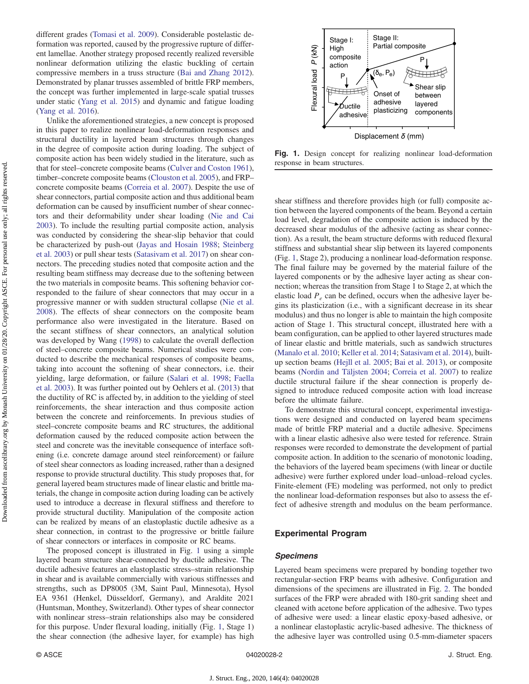<span id="page-1-0"></span>different grades [\(Tomasi et al. 2009\)](#page-10-0). Considerable postelastic deformation was reported, caused by the progressive rupture of different lamellae. Another strategy proposed recently realized reversible nonlinear deformation utilizing the elastic buckling of certain compressive members in a truss structure ([Bai and Zhang 2012\)](#page-9-0). Demonstrated by planar trusses assembled of brittle FRP members, the concept was further implemented in large-scale spatial trusses under static [\(Yang et al. 2015\)](#page-10-0) and dynamic and fatigue loading [\(Yang et al. 2016](#page-10-0)).

Unlike the aforementioned strategies, a new concept is proposed in this paper to realize nonlinear load-deformation responses and structural ductility in layered beam structures through changes in the degree of composite action during loading. The subject of composite action has been widely studied in the literature, such as that for steel–concrete composite beams [\(Culver and Coston 1961\)](#page-9-0), timber–concrete composite beams ([Clouston et al. 2005\)](#page-9-0), and FRP– concrete composite beams [\(Correia et al. 2007\)](#page-9-0). Despite the use of shear connectors, partial composite action and thus additional beam deformation can be caused by insufficient number of shear connectors and their deformability under shear loading [\(Nie and Cai](#page-9-0) [2003](#page-9-0)). To include the resulting partial composite action, analysis was conducted by considering the shear-slip behavior that could be characterized by push-out [\(Jayas and Hosain 1988;](#page-9-0) [Steinberg](#page-10-0) [et al. 2003](#page-10-0)) or pull shear tests [\(Satasivam et al. 2017\)](#page-10-0) on shear connectors. The preceding studies noted that composite action and the resulting beam stiffness may decrease due to the softening between the two materials in composite beams. This softening behavior corresponded to the failure of shear connectors that may occur in a progressive manner or with sudden structural collapse ([Nie et al.](#page-9-0) [2008](#page-9-0)). The effects of shear connectors on the composite beam performance also were investigated in the literature. Based on the secant stiffness of shear connectors, an analytical solution was developed by Wang ([1998\)](#page-10-0) to calculate the overall deflection of steel–concrete composite beams. Numerical studies were conducted to describe the mechanical responses of composite beams, taking into account the softening of shear connectors, i.e. their yielding, large deformation, or failure ([Salari et al. 1998;](#page-10-0) [Faella](#page-9-0) [et al. 2003\)](#page-9-0). It was further pointed out by Oehlers et al. [\(2013](#page-9-0)) that the ductility of RC is affected by, in addition to the yielding of steel reinforcements, the shear interaction and thus composite action between the concrete and reinforcements. In previous studies of steel–concrete composite beams and RC structures, the additional deformation caused by the reduced composite action between the steel and concrete was the inevitable consequence of interface softening (i.e. concrete damage around steel reinforcement) or failure of steel shear connectors as loading increased, rather than a designed response to provide structural ductility. This study proposes that, for general layered beam structures made of linear elastic and brittle materials, the change in composite action during loading can be actively used to introduce a decrease in flexural stiffness and therefore to provide structural ductility. Manipulation of the composite action can be realized by means of an elastoplastic ductile adhesive as a shear connection, in contrast to the progressive or brittle failure of shear connectors or interfaces in composite or RC beams.

The proposed concept is illustrated in Fig. 1 using a simple layered beam structure shear-connected by ductile adhesive. The ductile adhesive features an elastoplastic stress–strain relationship in shear and is available commercially with various stiffnesses and strengths, such as DP8005 (3M, Saint Paul, Minnesota), Hysol EA 9361 (Henkel, Düsseldorf, Germany), and Araldite 2021 (Huntsman, Monthey, Switzerland). Other types of shear connector with nonlinear stress–strain relationships also may be considered for this purpose. Under flexural loading, initially (Fig. 1, Stage 1) the shear connection (the adhesive layer, for example) has high



Fig. 1. Design concept for realizing nonlinear load-deformation response in beam structures.

shear stiffness and therefore provides high (or full) composite action between the layered components of the beam. Beyond a certain load level, degradation of the composite action is induced by the decreased shear modulus of the adhesive (acting as shear connection). As a result, the beam structure deforms with reduced flexural stiffness and substantial shear slip between its layered components (Fig. 1, Stage 2), producing a nonlinear load-deformation response. The final failure may be governed by the material failure of the layered components or by the adhesive layer acting as shear connection; whereas the transition from Stage 1 to Stage 2, at which the elastic load  $P_e$  can be defined, occurs when the adhesive layer begins its plasticization (i.e., with a significant decrease in its shear modulus) and thus no longer is able to maintain the high composite action of Stage 1. This structural concept, illustrated here with a beam configuration, can be applied to other layered structures made of linear elastic and brittle materials, such as sandwich structures [\(Manalo et al. 2010;](#page-9-0) [Keller et al. 2014;](#page-9-0) [Satasivam et al. 2014](#page-10-0)), builtup section beams [\(Hejll et al. 2005](#page-9-0); [Bai et al. 2013\)](#page-9-0), or composite beams ([Nordin and Täljsten 2004;](#page-9-0) [Correia et al. 2007\)](#page-9-0) to realize ductile structural failure if the shear connection is properly designed to introduce reduced composite action with load increase before the ultimate failure. **Example 19**<br> **Example 19**<br> **Example 19**<br> **Example 19**<br> **Example 19**<br> **Example 19**<br> **Example 19**<br> **Example 19**<br> **Example 19**<br> **Examplements**<br> **Examplements**<br> **Examplements**<br> **Examplements**<br> **Examplements**<br> **Examplements**<br>

To demonstrate this structural concept, experimental investigations were designed and conducted on layered beam specimens made of brittle FRP material and a ductile adhesive. Specimens with a linear elastic adhesive also were tested for reference. Strain responses were recorded to demonstrate the development of partial composite action. In addition to the scenario of monotonic loading, the behaviors of the layered beam specimens (with linear or ductile adhesive) were further explored under load–unload–reload cycles. Finite-element (FE) modeling was performed, not only to predict the nonlinear load-deformation responses but also to assess the effect of adhesive strength and modulus on the beam performance.

#### Experimental Program

#### Specimens

Layered beam specimens were prepared by bonding together two rectangular-section FRP beams with adhesive. Configuration and dimensions of the specimens are illustrated in Fig. [2](#page-2-0). The bonded surfaces of the FRP were abraded with 180-grit sanding sheet and cleaned with acetone before application of the adhesive. Two types of adhesive were used: a linear elastic epoxy-based adhesive, or a nonlinear elastoplastic acrylic-based adhesive. The thickness of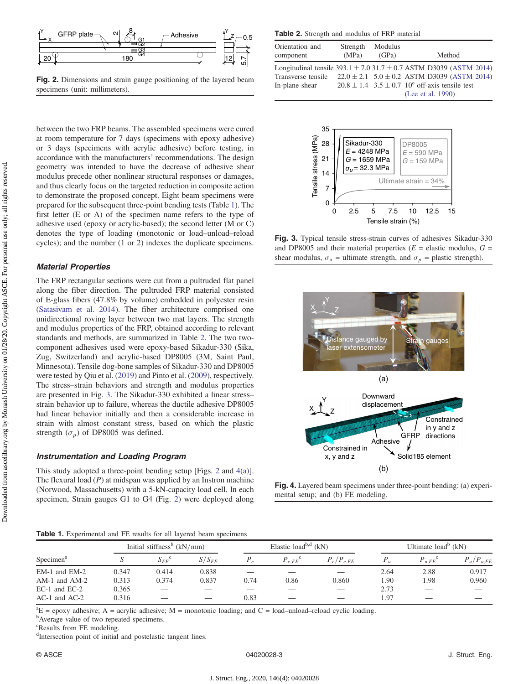<span id="page-2-0"></span>

Fig. 2. Dimensions and strain gauge positioning of the layered beam specimens (unit: millimeters).

between the two FRP beams. The assembled specimens were cured at room temperature for 7 days (specimens with epoxy adhesive) or 3 days (specimens with acrylic adhesive) before testing, in accordance with the manufacturers' recommendations. The design geometry was intended to have the decrease of adhesive shear modulus precede other nonlinear structural responses or damages, and thus clearly focus on the targeted reduction in composite action to demonstrate the proposed concept. Eight beam specimens were prepared for the subsequent three-point bending tests (Table 1). The first letter (E or A) of the specimen name refers to the type of adhesive used (epoxy or acrylic-based); the second letter (M or C) denotes the type of loading (monotonic or load–unload–reload cycles); and the number (1 or 2) indexes the duplicate specimens.

#### Material Properties

The FRP rectangular sections were cut from a pultruded flat panel along the fiber direction. The pultruded FRP material consisted of E-glass fibers (47.8% by volume) embedded in polyester resin [\(Satasivam et al. 2014\)](#page-10-0). The fiber architecture comprised one unidirectional roving layer between two mat layers. The strength and modulus properties of the FRP, obtained according to relevant standards and methods, are summarized in Table 2. The two twocomponent adhesives used were epoxy-based Sikadur-330 (Sika, Zug, Switzerland) and acrylic-based DP8005 (3M, Saint Paul, Minnesota). Tensile dog-bone samples of Sikadur-330 and DP8005 were tested by Qiu et al. [\(2019](#page-9-0)) and Pinto et al. ([2009\)](#page-9-0), respectively. The stress–strain behaviors and strength and modulus properties are presented in Fig. 3. The Sikadur-330 exhibited a linear stress– strain behavior up to failure, whereas the ductile adhesive DP8005 had linear behavior initially and then a considerable increase in strain with almost constant stress, based on which the plastic strength  $(\sigma_p)$  of DP8005 was defined.

## Instrumentation and Loading Program

This study adopted a three-point bending setup [Figs. 2 and 4(a)]. The flexural load  $(P)$  at midspan was applied by an Instron machine (Norwood, Massachusetts) with a 5-kN-capacity load cell. In each specimen, Strain gauges G1 to G4 (Fig. 2) were deployed along

Table 2. Strength and modulus of FRP material

| Orientation and<br>component | Strength<br>(MPa) | Modulus<br>(GPa) | Method                                                                     |
|------------------------------|-------------------|------------------|----------------------------------------------------------------------------|
|                              |                   |                  | Longitudinal tensile $393.1 \pm 7.0$ 31.7 $\pm$ 0.7 ASTM D3039 (ASTM 2014) |
|                              |                   |                  | Transverse tensile $22.0 \pm 2.1$ 5.0 $\pm$ 0.2 ASTM D3039 (ASTM 2014)     |
| In-plane shear               |                   |                  | $20.8 \pm 1.4$ 3.5 $\pm$ 0.7 10° off-axis tensile test                     |
|                              |                   |                  | (Lee et al. 1990)                                                          |



Fig. 3. Typical tensile stress-strain curves of adhesives Sikadur-330 and DP8005 and their material properties ( $E =$  elastic modulus,  $G =$ shear modulus,  $\sigma_u$  = ultimate strength, and  $\sigma_p$  = plastic strength).



Fig. 4. Layered beam specimens under three-point bending: (a) experimental setup; and (b) FE modeling.

|  |  | <b>Table 1.</b> Experimental and FE results for all layered beam specimens |  |  |  |  |  |  |  |  |
|--|--|----------------------------------------------------------------------------|--|--|--|--|--|--|--|--|
|--|--|----------------------------------------------------------------------------|--|--|--|--|--|--|--|--|

|                       |       | Initial stiffness <sup>b</sup> $(kN/mm)$ |            |      | Elastic load <sup>b,d</sup> $(kN)$ |                          | Ultimate $load^b$ (kN) |                    |                |
|-----------------------|-------|------------------------------------------|------------|------|------------------------------------|--------------------------|------------------------|--------------------|----------------|
| Specimen <sup>a</sup> |       | $S_{FE}^{\quad \  \  \, c}$              | $S/S_{FE}$ |      | $P_{e, FE}$ <sup>c</sup>           | $P_e/P_{e,FE}$           | $P_{\mu}$              | $P_{u.FE}^{\circ}$ | $P_u/P_{u,FE}$ |
| $EM-1$ and $EM-2$     | 0.347 | 0.414                                    | 0.838      |      |                                    |                          | 2.64                   | 2.88               | 0.917          |
| $AM-1$ and $AM-2$     | 0.313 | 0.374                                    | 0.837      | 0.74 | 0.86                               | 0.860                    | 1.90                   | 1.98               | 0.960          |
| $EC-1$ and $EC-2$     | 0.365 |                                          | __         |      |                                    | $\overline{\phantom{a}}$ | 2.73                   | ___                |                |
| $AC-1$ and $AC-2$     | 0.316 | ---                                      | __         | 0.83 | $\overline{\phantom{a}}$           |                          | 1.97                   | __                 |                |

 ${}^{a}E$  = epoxy adhesive; A = acrylic adhesive; M = monotonic loading; and C = load–unload–reload cyclic loading.

<sup>b</sup>Average value of two repeated specimens.

c Results from FE modeling.

<sup>d</sup>Intersection point of initial and postelastic tangent lines.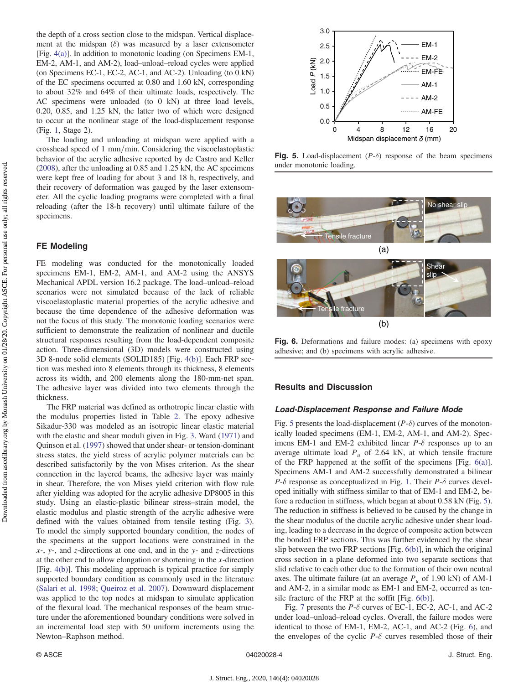<span id="page-3-0"></span>the depth of a cross section close to the midspan. Vertical displacement at the midspan  $(\delta)$  was measured by a laser extensometer [Fig. [4\(a\)](#page-2-0)]. In addition to monotonic loading (on Specimens EM-1, EM-2, AM-1, and AM-2), load–unload–reload cycles were applied (on Specimens EC-1, EC-2, AC-1, and AC-2). Unloading (to 0 kN) of the EC specimens occurred at 0.80 and 1.60 kN, corresponding to about 32% and 64% of their ultimate loads, respectively. The AC specimens were unloaded (to 0 kN) at three load levels, 0.20, 0.85, and 1.25 kN, the latter two of which were designed to occur at the nonlinear stage of the load-displacement response (Fig. [1,](#page-1-0) Stage 2).

The loading and unloading at midspan were applied with a crosshead speed of  $1 \text{ mm/min}$ . Considering the viscoelastoplastic behavior of the acrylic adhesive reported by de Castro and Keller [\(2008](#page-9-0)), after the unloading at 0.85 and 1.25 kN, the AC specimens were kept free of loading for about 3 and 18 h, respectively, and their recovery of deformation was gauged by the laser extensometer. All the cyclic loading programs were completed with a final reloading (after the 18-h recovery) until ultimate failure of the specimens.

## FE Modeling

FE modeling was conducted for the monotonically loaded specimens EM-1, EM-2, AM-1, and AM-2 using the ANSYS Mechanical APDL version 16.2 package. The load–unload–reload scenarios were not simulated because of the lack of reliable viscoelastoplastic material properties of the acrylic adhesive and because the time dependence of the adhesive deformation was not the focus of this study. The monotonic loading scenarios were sufficient to demonstrate the realization of nonlinear and ductile structural responses resulting from the load-dependent composite action. Three-dimensional (3D) models were constructed using 3D 8-node solid elements (SOLID185) [Fig. [4\(b\)\]](#page-2-0). Each FRP section was meshed into 8 elements through its thickness, 8 elements across its width, and 200 elements along the 180-mm-net span. The adhesive layer was divided into two elements through the thickness.

The FRP material was defined as orthotropic linear elastic with the modulus properties listed in Table [2](#page-2-0). The epoxy adhesive Sikadur-330 was modeled as an isotropic linear elastic material with the elastic and shear moduli given in Fig. [3](#page-2-0). Ward ([1971\)](#page-10-0) and Quinson et al. [\(1997](#page-10-0)) showed that under shear- or tension-dominant stress states, the yield stress of acrylic polymer materials can be described satisfactorily by the von Mises criterion. As the shear connection in the layered beams, the adhesive layer was mainly in shear. Therefore, the von Mises yield criterion with flow rule after yielding was adopted for the acrylic adhesive DP8005 in this study. Using an elastic-plastic bilinear stress–strain model, the elastic modulus and plastic strength of the acrylic adhesive were defined with the values obtained from tensile testing (Fig. [3\)](#page-2-0). To model the simply supported boundary condition, the nodes of the specimens at the support locations were constrained in the  $x$ -,  $y$ -, and  $z$ -directions at one end, and in the  $y$ - and  $z$ -directions at the other end to allow elongation or shortening in the x-direction [Fig. [4\(b\)\]](#page-2-0). This modeling approach is typical practice for simply supported boundary condition as commonly used in the literature [\(Salari et al. 1998;](#page-10-0) [Queiroz et al. 2007\)](#page-9-0). Downward displacement was applied to the top nodes at midspan to simulate application of the flexural load. The mechanical responses of the beam structure under the aforementioned boundary conditions were solved in an incremental load step with 50 uniform increments using the Newton–Raphson method.



Fig. 5. Load-displacement  $(P-\delta)$  response of the beam specimens under monotonic loading.



Fig. 6. Deformations and failure modes: (a) specimens with epoxy adhesive; and (b) specimens with acrylic adhesive.

#### Results and Discussion

#### Load-Displacement Response and Failure Mode

Fig. 5 presents the load-displacement  $(P-\delta)$  curves of the monotonically loaded specimens (EM-1, EM-2, AM-1, and AM-2). Specimens EM-1 and EM-2 exhibited linear  $P-\delta$  responses up to an average ultimate load  $P_u$  of 2.64 kN, at which tensile fracture of the FRP happened at the soffit of the specimens [Fig. 6(a)]. Specimens AM-1 and AM-2 successfully demonstrated a bilinear  $P-\delta$  response as conceptualized in Fig. [1](#page-1-0). Their  $P-\delta$  curves developed initially with stiffness similar to that of EM-1 and EM-2, before a reduction in stiffness, which began at about 0.58 kN (Fig. 5). The reduction in stiffness is believed to be caused by the change in the shear modulus of the ductile acrylic adhesive under shear loading, leading to a decrease in the degree of composite action between the bonded FRP sections. This was further evidenced by the shear slip between the two FRP sections [Fig. 6(b)], in which the original cross section in a plane deformed into two separate sections that slid relative to each other due to the formation of their own neutral axes. The ultimate failure (at an average  $P_u$  of 1.90 kN) of AM-1 and AM-2, in a similar mode as EM-1 and EM-2, occurred as tensile fracture of the FRP at the soffit [Fig. 6(b)].

Fig. [7](#page-4-0) presents the  $P-\delta$  curves of EC-1, EC-2, AC-1, and AC-2 under load–unload–reload cycles. Overall, the failure modes were identical to those of EM-1, EM-2, AC-1, and AC-2 (Fig. 6), and the envelopes of the cyclic  $P-\delta$  curves resembled those of their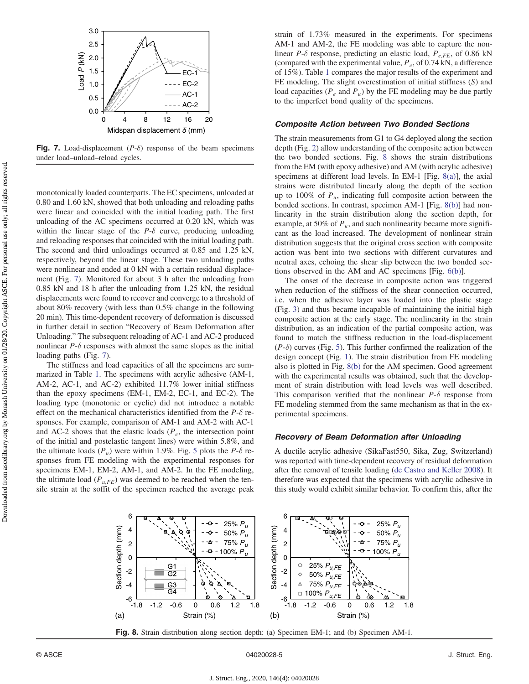<span id="page-4-0"></span>

**Fig. 7.** Load-displacement  $(P-\delta)$  response of the beam specimens under load–unload–reload cycles.

monotonically loaded counterparts. The EC specimens, unloaded at 0.80 and 1.60 kN, showed that both unloading and reloading paths were linear and coincided with the initial loading path. The first unloading of the AC specimens occurred at 0.20 kN, which was within the linear stage of the  $P-\delta$  curve, producing unloading and reloading responses that coincided with the initial loading path. The second and third unloadings occurred at 0.85 and 1.25 kN, respectively, beyond the linear stage. These two unloading paths were nonlinear and ended at 0 kN with a certain residual displacement (Fig. 7). Monitored for about 3 h after the unloading from 0.85 kN and 18 h after the unloading from 1.25 kN, the residual displacements were found to recover and converge to a threshold of about 80% recovery (with less than 0.5% change in the following 20 min). This time-dependent recovery of deformation is discussed in further detail in section "Recovery of Beam Deformation after Unloading." The subsequent reloading of AC-1 and AC-2 produced nonlinear  $P-\delta$  responses with almost the same slopes as the initial loading paths (Fig. 7).

The stiffness and load capacities of all the specimens are summarized in Table [1.](#page-2-0) The specimens with acrylic adhesive (AM-1, AM-2, AC-1, and AC-2) exhibited 11.7% lower initial stiffness than the epoxy specimens (EM-1, EM-2, EC-1, and EC-2). The loading type (monotonic or cyclic) did not introduce a notable effect on the mechanical characteristics identified from the  $P-\delta$  responses. For example, comparison of AM-1 and AM-2 with AC-1 and AC-2 shows that the elastic loads  $(P_e)$ , the intersection point of the initial and postelastic tangent lines) were within 5.8%, and the ultimate loads  $(P_u)$  were within 1.9%. Fig. [5](#page-3-0) plots the P- $\delta$  responses from FE modeling with the experimental responses for specimens EM-1, EM-2, AM-1, and AM-2. In the FE modeling, the ultimate load  $(P_{u,FE})$  was deemed to be reached when the tensile strain at the soffit of the specimen reached the average peak strain of 1.73% measured in the experiments. For specimens AM-1 and AM-2, the FE modeling was able to capture the nonlinear P- $\delta$  response, predicting an elastic load,  $P_{e,FE}$ , of 0.86 kN (compared with the experimental value,  $P_e$ , of 0.74 kN, a difference of 15%). Table [1](#page-2-0) compares the major results of the experiment and FE modeling. The slight overestimation of initial stiffness (S) and load capacities ( $P_e$  and  $P_u$ ) by the FE modeling may be due partly to the imperfect bond quality of the specimens.

#### Composite Action between Two Bonded Sections

The strain measurements from G1 to G4 deployed along the section depth (Fig. [2\)](#page-2-0) allow understanding of the composite action between the two bonded sections. Fig. 8 shows the strain distributions from the EM (with epoxy adhesive) and AM (with acrylic adhesive) specimens at different load levels. In EM-1 [Fig. 8(a)], the axial strains were distributed linearly along the depth of the section up to 100% of  $P_u$ , indicating full composite action between the bonded sections. In contrast, specimen AM-1 [Fig. 8(b)] had nonlinearity in the strain distribution along the section depth, for example, at 50% of  $P_u$ , and such nonlinearity became more significant as the load increased. The development of nonlinear strain distribution suggests that the original cross section with composite action was bent into two sections with different curvatures and neutral axes, echoing the shear slip between the two bonded sections observed in the AM and AC specimens [Fig. [6\(b\)\]](#page-3-0).

The onset of the decrease in composite action was triggered when reduction of the stiffness of the shear connection occurred, i.e. when the adhesive layer was loaded into the plastic stage (Fig. [3\)](#page-2-0) and thus became incapable of maintaining the initial high composite action at the early stage. The nonlinearity in the strain distribution, as an indication of the partial composite action, was found to match the stiffness reduction in the load-displacement  $(P-\delta)$  curves (Fig. [5\)](#page-3-0). This further confirmed the realization of the design concept (Fig. [1\)](#page-1-0). The strain distribution from FE modeling also is plotted in Fig. 8(b) for the AM specimen. Good agreement with the experimental results was obtained, such that the development of strain distribution with load levels was well described. This comparison verified that the nonlinear  $P-\delta$  response from FE modeling stemmed from the same mechanism as that in the experimental specimens.

## Recovery of Beam Deformation after Unloading

A ductile acrylic adhesive (SikaFast550, Sika, Zug, Switzerland) was reported with time-dependent recovery of residual deformation after the removal of tensile loading [\(de Castro and Keller 2008](#page-9-0)). It therefore was expected that the specimens with acrylic adhesive in this study would exhibit similar behavior. To confirm this, after the



Fig. 8. Strain distribution along section depth: (a) Specimen EM-1; and (b) Specimen AM-1.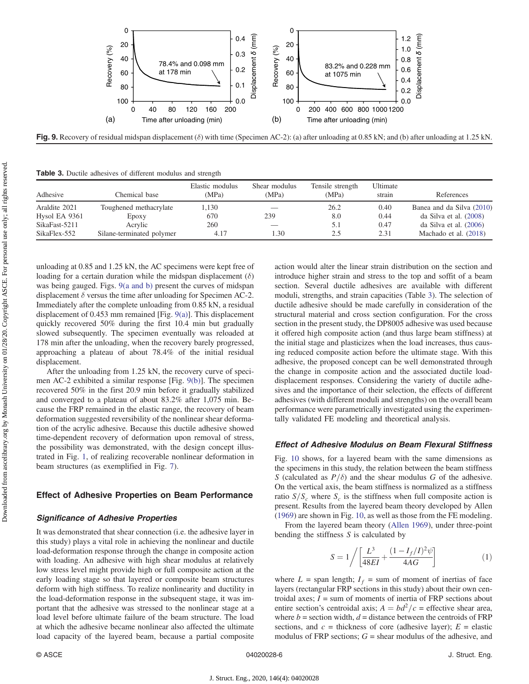

Fig. 9. Recovery of residual midspan displacement ( $\delta$ ) with time (Specimen AC-2): (a) after unloading at 0.85 kN; and (b) after unloading at 1.25 kN.

Table 3. Ductile adhesives of different modulus and strength

| Adhesive      | Chemical base             | Elastic modulus<br>(MPa) | Shear modulus<br>(MPa) | Tensile strength<br>(MPa) | Ultimate<br>strain | References                |
|---------------|---------------------------|--------------------------|------------------------|---------------------------|--------------------|---------------------------|
| Araldite 2021 | Toughened methacrylate    | 1,130                    |                        | 26.2                      | 0.40               | Banea and da Silva (2010) |
| Hysol EA 9361 | Epoxy                     | 670                      | 239                    | 8.0                       | 0.44               | da Silva et al. $(2008)$  |
| SikaFast-5211 | Acrylic                   | 260                      |                        | 5.1                       | 0.47               | da Silva et al. $(2006)$  |
| SikaFlex-552  | Silane-terminated polymer | 4.17                     | 1.30                   | 2.5                       | 2.31               | Machado et al. (2018)     |

unloading at 0.85 and 1.25 kN, the AC specimens were kept free of loading for a certain duration while the midspan displacement  $(\delta)$ was being gauged. Figs. 9(a and b) present the curves of midspan displacement  $\delta$  versus the time after unloading for Specimen AC-2. Immediately after the complete unloading from 0.85 kN, a residual displacement of 0.453 mm remained [Fig. 9(a)]. This displacement quickly recovered 50% during the first 10.4 min but gradually slowed subsequently. The specimen eventually was reloaded at 178 min after the unloading, when the recovery barely progressed, approaching a plateau of about 78.4% of the initial residual displacement.

After the unloading from 1.25 kN, the recovery curve of specimen AC-2 exhibited a similar response [Fig. 9(b)]. The specimen recovered 50% in the first 20.9 min before it gradually stabilized and converged to a plateau of about 83.2% after 1,075 min. Because the FRP remained in the elastic range, the recovery of beam deformation suggested reversibility of the nonlinear shear deformation of the acrylic adhesive. Because this ductile adhesive showed time-dependent recovery of deformation upon removal of stress, the possibility was demonstrated, with the design concept illustrated in Fig. [1,](#page-1-0) of realizing recoverable nonlinear deformation in beam structures (as exemplified in Fig. [7](#page-4-0)).

## Effect of Adhesive Properties on Beam Performance

#### Significance of Adhesive Properties

It was demonstrated that shear connection (i.e. the adhesive layer in this study) plays a vital role in achieving the nonlinear and ductile load-deformation response through the change in composite action with loading. An adhesive with high shear modulus at relatively low stress level might provide high or full composite action at the early loading stage so that layered or composite beam structures deform with high stiffness. To realize nonlinearity and ductility in the load-deformation response in the subsequent stage, it was important that the adhesive was stressed to the nonlinear stage at a load level before ultimate failure of the beam structure. The load at which the adhesive became nonlinear also affected the ultimate load capacity of the layered beam, because a partial composite

action would alter the linear strain distribution on the section and introduce higher strain and stress to the top and soffit of a beam section. Several ductile adhesives are available with different moduli, strengths, and strain capacities (Table 3). The selection of ductile adhesive should be made carefully in consideration of the structural material and cross section configuration. For the cross section in the present study, the DP8005 adhesive was used because it offered high composite action (and thus large beam stiffness) at the initial stage and plasticizes when the load increases, thus causing reduced composite action before the ultimate stage. With this adhesive, the proposed concept can be well demonstrated through the change in composite action and the associated ductile loaddisplacement responses. Considering the variety of ductile adhesives and the importance of their selection, the effects of different adhesives (with different moduli and strengths) on the overall beam performance were parametrically investigated using the experimentally validated FE modeling and theoretical analysis.

## Effect of Adhesive Modulus on Beam Flexural Stiffness

Fig. [10](#page-6-0) shows, for a layered beam with the same dimensions as the specimens in this study, the relation between the beam stiffness S (calculated as  $P/\delta$ ) and the shear modulus G of the adhesive. On the vertical axis, the beam stiffness is normalized as a stiffness ratio  $S/S_c$  where  $S_c$  is the stiffness when full composite action is present. Results from the layered beam theory developed by Allen [\(1969](#page-9-0)) are shown in Fig. [10](#page-6-0), as well as those from the FE modeling.

From the layered beam theory ([Allen 1969\)](#page-9-0), under three-point bending the stiffness  $S$  is calculated by

$$
S = 1 / \left[ \frac{L^3}{48EI} + \frac{(1 - I_f/I)^2 \psi}{4AG} \right]
$$
 (1)

where  $L =$  span length;  $I_f =$  sum of moment of inertias of face layers (rectangular FRP sections in this study) about their own centroidal axes;  $\overline{I}$  = sum of moments of inertia of FRP sections about entire section's centroidal axis;  $A = bd^2/c$  = effective shear area, where  $b =$  section width,  $d =$  distance between the centroids of FRP sections, and  $c =$  thickness of core (adhesive layer);  $E =$  elastic modulus of FRP sections;  $G =$  shear modulus of the adhesive, and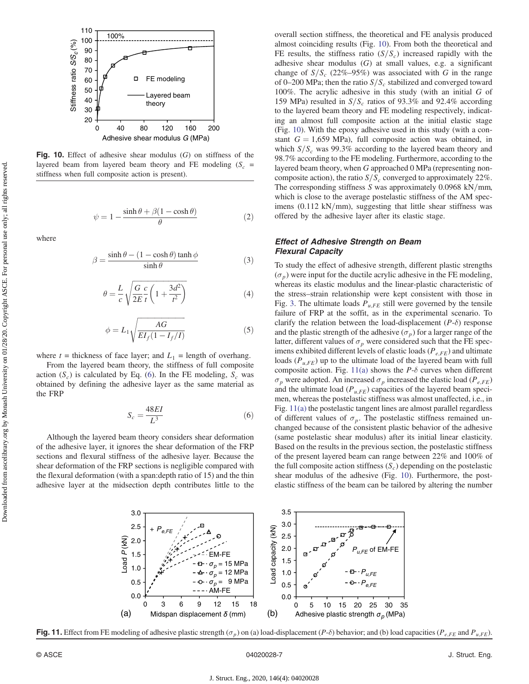<span id="page-6-0"></span>

Fig. 10. Effect of adhesive shear modulus  $(G)$  on stiffness of the layered beam from layered beam theory and FE modeling  $(S_c =$ stiffness when full composite action is present).

$$
\psi = 1 - \frac{\sinh \theta + \beta (1 - \cosh \theta)}{\theta} \tag{2}
$$

where

$$
\beta = \frac{\sinh \theta - (1 - \cosh \theta) \tanh \phi}{\sinh \theta} \tag{3}
$$

$$
\theta = \frac{L}{c} \sqrt{\frac{G}{2E} \frac{c}{t} \left( 1 + \frac{3d^2}{t^2} \right)}
$$
(4)

$$
\phi = L_1 \sqrt{\frac{AG}{EI_f(1 - I_f/I)}}
$$
\n(5)

where  $t =$  thickness of face layer; and  $L_1 =$  length of overhang.

From the layered beam theory, the stiffness of full composite action  $(S_c)$  is calculated by Eq. (6). In the FE modeling,  $S_c$  was obtained by defining the adhesive layer as the same material as the FRP

$$
S_c = \frac{48EI}{L^3} \tag{6}
$$

Although the layered beam theory considers shear deformation of the adhesive layer, it ignores the shear deformation of the FRP sections and flexural stiffness of the adhesive layer. Because the shear deformation of the FRP sections is negligible compared with the flexural deformation (with a span:depth ratio of 15) and the thin adhesive layer at the midsection depth contributes little to the overall section stiffness, the theoretical and FE analysis produced almost coinciding results (Fig. 10). From both the theoretical and FE results, the stiffness ratio  $(S/S<sub>c</sub>)$  increased rapidly with the adhesive shear modulus  $(G)$  at small values, e.g. a significant change of  $S/S_c$  (22%–95%) was associated with G in the range of 0–200 MPa; then the ratio  $S/S_c$  stabilized and converged toward 100%. The acrylic adhesive in this study (with an initial G of 159 MPa) resulted in  $S/S_c$  ratios of 93.3% and 92.4% according to the layered beam theory and FE modeling respectively, indicating an almost full composite action at the initial elastic stage (Fig. 10). With the epoxy adhesive used in this study (with a constant  $G = 1,659$  MPa), full composite action was obtained, in which  $S/S_c$  was 99.3% according to the layered beam theory and 98.7% according to the FE modeling. Furthermore, according to the layered beam theory, when G approached 0 MPa (representing noncomposite action), the ratio  $S/S_c$  converged to approximately 22%. The corresponding stiffness  $S$  was approximately 0.0968 kN/mm, which is close to the average postelastic stiffness of the AM specimens  $(0.112 \text{ kN/mm})$ , suggesting that little shear stiffness was offered by the adhesive layer after its elastic stage.

#### Effect of Adhesive Strength on Beam Flexural Capacity

To study the effect of adhesive strength, different plastic strengths  $(\sigma_p)$  were input for the ductile acrylic adhesive in the FE modeling, whereas its elastic modulus and the linear-plastic characteristic of the stress–strain relationship were kept consistent with those in Fig. [3.](#page-2-0) The ultimate loads  $P_{u,FE}$  still were governed by the tensile failure of FRP at the soffit, as in the experimental scenario. To clarify the relation between the load-displacement  $(P-\delta)$  response and the plastic strength of the adhesive  $(\sigma_p)$  for a larger range of the latter, different values of  $\sigma_p$  were considered such that the FE specimens exhibited different levels of elastic loads ( $P_{e,FE}$ ) and ultimate loads  $(P_{u,FE})$  up to the ultimate load of the layered beam with full composite action. Fig. 11(a) shows the  $P-\delta$  curves when different  $\sigma_p$  were adopted. An increased  $\sigma_p$  increased the elastic load ( $P_{e,FE}$ ) and the ultimate load ( $P_{u,FE}$ ) capacities of the layered beam specimen, whereas the postelastic stiffness was almost unaffected, i.e., in Fig. 11(a) the postelastic tangent lines are almost parallel regardless of different values of  $\sigma_p$ . The postelastic stiffness remained unchanged because of the consistent plastic behavior of the adhesive (same postelastic shear modulus) after its initial linear elasticity. Based on the results in the previous section, the postelastic stiffness of the present layered beam can range between 22% and 100% of the full composite action stiffness  $(S_c)$  depending on the postelastic shear modulus of the adhesive (Fig. 10). Furthermore, the postelastic stiffness of the beam can be tailored by altering the number



Fig. 11. Effect from FE modeling of adhesive plastic strength ( $\sigma_p$ ) on (a) load-displacement (P- $\delta$ ) behavior; and (b) load capacities (P<sub>e;FE</sub> and P<sub>u;FE</sub>).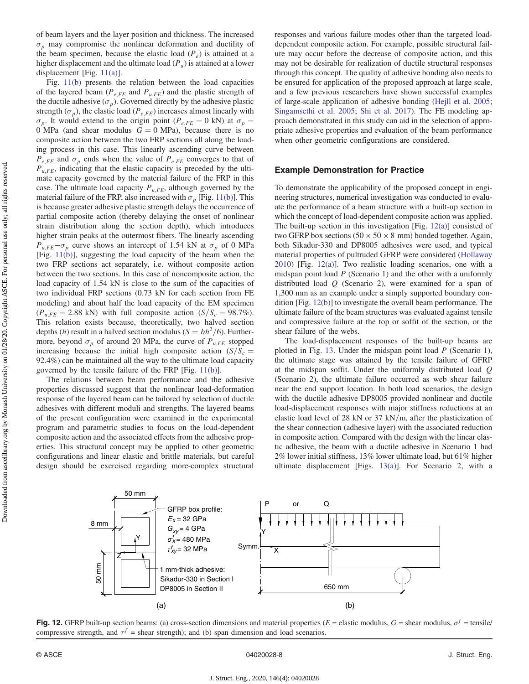<span id="page-7-0"></span>of beam layers and the layer position and thickness. The increased  $\sigma_p$  may compromise the nonlinear deformation and ductility of the beam specimen, because the elastic load  $(P_e)$  is attained at a higher displacement and the ultimate load  $(P_u)$  is attained at a lower displacement [Fig. [11\(a\)](#page-6-0)].

Fig. [11\(b\)](#page-6-0) presents the relation between the load capacities of the layered beam ( $P_{e,FE}$  and  $P_{u,FE}$ ) and the plastic strength of the ductile adhesive ( $\sigma_p$ ). Governed directly by the adhesive plastic strength ( $\sigma_p$ ), the elastic load ( $P_{e,FE}$ ) increases almost linearly with  $\sigma_p$ . It would extend to the origin point ( $P_{e,FE} = 0$  kN) at  $\sigma_p =$  $0$  MPa (and shear modulus  $G = 0$  MPa), because there is no composite action between the two FRP sections all along the loading process in this case. This linearly ascending curve between  $P_{e,FE}$  and  $\sigma_p$  ends when the value of  $P_{e,FE}$  converges to that of  $P_{u,FE}$ , indicating that the elastic capacity is preceded by the ultimate capacity governed by the material failure of the FRP in this case. The ultimate load capacity  $P_{u,FE}$ , although governed by the material failure of the FRP, also increased with  $\sigma_p$  [Fig. [11\(b\)\]](#page-6-0). This is because greater adhesive plastic strength delays the occurrence of partial composite action (thereby delaying the onset of nonlinear strain distribution along the section depth), which introduces higher strain peaks at the outermost fibers. The linearly ascending  $P_{u,FE}-\sigma_p$  curve shows an intercept of 1.54 kN at  $\sigma_p$  of 0 MPa [Fig. [11\(b\)](#page-6-0)], suggesting the load capacity of the beam when the two FRP sections act separately, i.e. without composite action between the two sections. In this case of noncomposite action, the load capacity of 1.54 kN is close to the sum of the capacities of two individual FRP sections (0.73 kN for each section from FE modeling) and about half the load capacity of the EM specimen  $(P_{u,FE} = 2.88 \text{ kN})$  with full composite action  $(S/S_c = 98.7\%)$ . This relation exists because, theoretically, two halved section depths (h) result in a halved section modulus ( $S = bh^2/6$ ). Furthermore, beyond  $\sigma_p$  of around 20 MPa, the curve of  $P_{u,FE}$  stopped increasing because the initial high composite action  $(S/S_c =$ 92.4%) can be maintained all the way to the ultimate load capacity governed by the tensile failure of the FRP [Fig. [11\(b\)](#page-6-0)].

The relations between beam performance and the adhesive properties discussed suggest that the nonlinear load-deformation response of the layered beam can be tailored by selection of ductile adhesives with different moduli and strengths. The layered beams of the present configuration were examined in the experimental program and parametric studies to focus on the load-dependent composite action and the associated effects from the adhesive properties. This structural concept may be applied to other geometric configurations and linear elastic and brittle materials, but careful design should be exercised regarding more-complex structural responses and various failure modes other than the targeted loaddependent composite action. For example, possible structural failure may occur before the decrease of composite action, and this may not be desirable for realization of ductile structural responses through this concept. The quality of adhesive bonding also needs to be ensured for application of the proposed approach at large scale, and a few previous researchers have shown successful examples of large-scale application of adhesive bonding [\(Hejll et al. 2005](#page-9-0); [Singamsethi et al. 2005;](#page-10-0) [Shi et al. 2017](#page-10-0)). The FE modeling approach demonstrated in this study can aid in the selection of appropriate adhesive properties and evaluation of the beam performance when other geometric configurations are considered.

## Example Demonstration for Practice

To demonstrate the applicability of the proposed concept in engineering structures, numerical investigation was conducted to evaluate the performance of a beam structure with a built-up section in which the concept of load-dependent composite action was applied. The built-up section in this investigation [Fig. 12(a)] consisted of two GFRP box sections  $(50 \times 50 \times 8 \text{ mm})$  bonded together. Again, both Sikadur-330 and DP8005 adhesives were used, and typical material properties of pultruded GFRP were considered [\(Hollaway](#page-9-0) [2010](#page-9-0)) [Fig. 12(a)]. Two realistic loading scenarios, one with a midspan point load  $P$  (Scenario 1) and the other with a uniformly distributed load  $Q$  (Scenario 2), were examined for a span of 1,300 mm as an example under a simply supported boundary condition [Fig. 12(b)] to investigate the overall beam performance. The ultimate failure of the beam structures was evaluated against tensile and compressive failure at the top or soffit of the section, or the shear failure of the webs.

The load-displacement responses of the built-up beams are plotted in Fig. [13.](#page-8-0) Under the midspan point load P (Scenario 1), the ultimate stage was attained by the tensile failure of GFRP at the midspan soffit. Under the uniformly distributed load Q (Scenario 2), the ultimate failure occurred as web shear failure near the end support location. In both load scenarios, the design with the ductile adhesive DP8005 provided nonlinear and ductile load-displacement responses with major stiffness reductions at an elastic load level of 28 kN or 37 kN/m, after the plasticization of the shear connection (adhesive layer) with the associated reduction in composite action. Compared with the design with the linear elastic adhesive, the beam with a ductile adhesive in Scenario 1 had 2% lower initial stiffness, 13% lower ultimate load, but 61% higher ultimate displacement [Figs. [13\(a\)\]](#page-8-0). For Scenario 2, with a



Fig. 12. GFRP built-up section beams: (a) cross-section dimensions and material properties ( $E =$  elastic modulus,  $G =$  shear modulus,  $\sigma^f =$  tensile/ compressive strength, and  $\tau^f$  = shear strength); and (b) span dimension and load scenarios.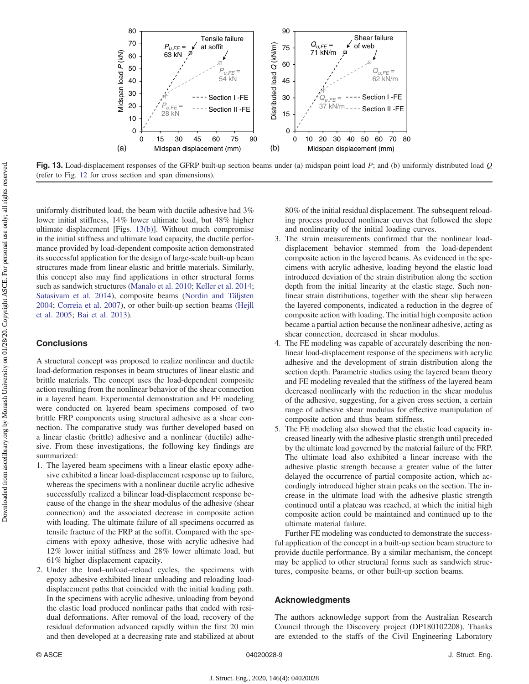<span id="page-8-0"></span>

Fig. 13. Load-displacement responses of the GFRP built-up section beams under (a) midspan point load  $P$ ; and (b) uniformly distributed load  $Q$ (refer to Fig. [12](#page-7-0) for cross section and span dimensions).

uniformly distributed load, the beam with ductile adhesive had 3% lower initial stiffness, 14% lower ultimate load, but 48% higher ultimate displacement [Figs. 13(b)]. Without much compromise in the initial stiffness and ultimate load capacity, the ductile performance provided by load-dependent composite action demonstrated its successful application for the design of large-scale built-up beam structures made from linear elastic and brittle materials. Similarly, this concept also may find applications in other structural forms such as sandwich structures [\(Manalo et al. 2010;](#page-9-0) [Keller et al. 2014](#page-9-0); [Satasivam et al. 2014\)](#page-10-0), composite beams [\(Nordin and Täljsten](#page-9-0) [2004](#page-9-0); [Correia et al. 2007\)](#page-9-0), or other built-up section beams [\(Hejll](#page-9-0) [et al. 2005;](#page-9-0) [Bai et al. 2013](#page-9-0)).

## **Conclusions**

A structural concept was proposed to realize nonlinear and ductile load-deformation responses in beam structures of linear elastic and brittle materials. The concept uses the load-dependent composite action resulting from the nonlinear behavior of the shear connection in a layered beam. Experimental demonstration and FE modeling were conducted on layered beam specimens composed of two brittle FRP components using structural adhesive as a shear connection. The comparative study was further developed based on a linear elastic (brittle) adhesive and a nonlinear (ductile) adhesive. From these investigations, the following key findings are summarized:

- 1. The layered beam specimens with a linear elastic epoxy adhesive exhibited a linear load-displacement response up to failure, whereas the specimens with a nonlinear ductile acrylic adhesive successfully realized a bilinear load-displacement response because of the change in the shear modulus of the adhesive (shear connection) and the associated decrease in composite action with loading. The ultimate failure of all specimens occurred as tensile fracture of the FRP at the soffit. Compared with the specimens with epoxy adhesive, those with acrylic adhesive had 12% lower initial stiffness and 28% lower ultimate load, but 61% higher displacement capacity.
- 2. Under the load–unload–reload cycles, the specimens with epoxy adhesive exhibited linear unloading and reloading loaddisplacement paths that coincided with the initial loading path. In the specimens with acrylic adhesive, unloading from beyond the elastic load produced nonlinear paths that ended with residual deformations. After removal of the load, recovery of the residual deformation advanced rapidly within the first 20 min and then developed at a decreasing rate and stabilized at about

80% of the initial residual displacement. The subsequent reloading process produced nonlinear curves that followed the slope and nonlinearity of the initial loading curves.

- 3. The strain measurements confirmed that the nonlinear loaddisplacement behavior stemmed from the load-dependent composite action in the layered beams. As evidenced in the specimens with acrylic adhesive, loading beyond the elastic load introduced deviation of the strain distribution along the section depth from the initial linearity at the elastic stage. Such nonlinear strain distributions, together with the shear slip between the layered components, indicated a reduction in the degree of composite action with loading. The initial high composite action became a partial action because the nonlinear adhesive, acting as shear connection, decreased in shear modulus.
- 4. The FE modeling was capable of accurately describing the nonlinear load-displacement response of the specimens with acrylic adhesive and the development of strain distribution along the section depth. Parametric studies using the layered beam theory and FE modeling revealed that the stiffness of the layered beam decreased nonlinearly with the reduction in the shear modulus of the adhesive, suggesting, for a given cross section, a certain range of adhesive shear modulus for effective manipulation of composite action and thus beam stiffness.
- 5. The FE modeling also showed that the elastic load capacity increased linearly with the adhesive plastic strength until preceded by the ultimate load governed by the material failure of the FRP. The ultimate load also exhibited a linear increase with the adhesive plastic strength because a greater value of the latter delayed the occurrence of partial composite action, which accordingly introduced higher strain peaks on the section. The increase in the ultimate load with the adhesive plastic strength continued until a plateau was reached, at which the initial high composite action could be maintained and continued up to the ultimate material failure.

Further FE modeling was conducted to demonstrate the successful application of the concept in a built-up section beam structure to provide ductile performance. By a similar mechanism, the concept may be applied to other structural forms such as sandwich structures, composite beams, or other built-up section beams.

#### Acknowledgments

The authors acknowledge support from the Australian Research Council through the Discovery project (DP180102208). Thanks are extended to the staffs of the Civil Engineering Laboratory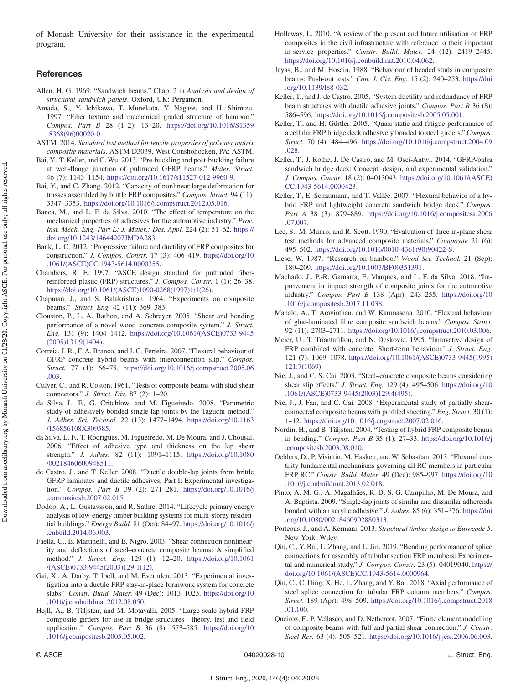<span id="page-9-0"></span>of Monash University for their assistance in the experimental program.

# References

- Allen, H. G. 1969. "Sandwich beams." Chap. 2 in Analysis and design of structural sandwich panels. Oxford, UK: Pergamon.
- Amada, S., Y. Ichikawa, T. Munekata, Y. Nagase, and H. Shimizu. 1997. "Fiber texture and mechanical graded structure of bamboo." Compos. Part B 28 (1–2): 13–20. [https://doi.org/10.1016/S1359](https://doi.org/10.1016/S1359-8368(96)00020-0) [-8368\(96\)00020-0.](https://doi.org/10.1016/S1359-8368(96)00020-0)
- ASTM. 2014. Standard test method for tensile properties of polymer matrix composite materials. ASTM D3039. West Conshohocken, PA: ASTM.
- Bai, Y., T. Keller, and C. Wu. 2013. "Pre-buckling and post-buckling failure at web-flange junction of pultruded GFRP beams." Mater. Struct. 46 (7): 1143–1154. <https://doi.org/10.1617/s11527-012-9960-9>.
- Bai, Y., and C. Zhang. 2012. "Capacity of nonlinear large deformation for trusses assembled by brittle FRP composites." Compos. Struct. 94 (11): 3347–3353. <https://doi.org/10.1016/j.compstruct.2012.05.016>.
- Banea, M., and L. F. da Silva. 2010. "The effect of temperature on the mechanical properties of adhesives for the automotive industry." Proc. Inst. Mech. Eng. Part L: J. Mater.: Des. Appl. 224 (2): 51–62. [https://](https://doi.org/10.1243/14644207JMDA283) [doi.org/10.1243/14644207JMDA283.](https://doi.org/10.1243/14644207JMDA283)
- Bank, L. C. 2012. "Progressive failure and ductility of FRP composites for construction." J. Compos. Constr. 17 (3): 406–419. [https://doi.org/10](https://doi.org/10.1061/(ASCE)CC.1943-5614.0000355) [.1061/\(ASCE\)CC.1943-5614.0000355.](https://doi.org/10.1061/(ASCE)CC.1943-5614.0000355)
- Chambers, R. E. 1997. "ASCE design standard for pultruded fiberreinforced-plastic (FRP) structures." J. Compos. Constr. 1 (1): 26–38. [https://doi.org/10.1061/\(ASCE\)1090-0268\(1997\)1:1\(26\).](https://doi.org/10.1061/(ASCE)1090-0268(1997)1:1(26))
- Chapman, J., and S. Balakrishnan. 1964. "Experiments on composite beams." Struct. Eng. 42 (11): 369–383.
- Clouston, P., L. A. Bathon, and A. Schreyer. 2005. "Shear and bending performance of a novel wood–concrete composite system." J. Struct. Eng. 131 (9): 1404–1412. [https://doi.org/10.1061/\(ASCE\)0733-9445](https://doi.org/10.1061/(ASCE)0733-9445(2005)131:9(1404)) [\(2005\)131:9\(1404\)](https://doi.org/10.1061/(ASCE)0733-9445(2005)131:9(1404)).
- Correia, J. R., F. A. Branco, and J. G. Ferreira. 2007. "Flexural behaviour of GFRP–concrete hybrid beams with interconnection slip." Compos. Struct. 77 (1): 66–78. [https://doi.org/10.1016/j.compstruct.2005.06](https://doi.org/10.1016/j.compstruct.2005.06.003) [.003.](https://doi.org/10.1016/j.compstruct.2005.06.003)
- Culver, C., and R. Coston. 1961. "Tests of composite beams with stud shear connectors." J. Struct. Div. 87 (2): 1–20.
- da Silva, L. F., G. Critchlow, and M. Figueiredo. 2008. "Parametric study of adhesively bonded single lap joints by the Taguchi method." J. Adhes. Sci. Technol. 22 (13): 1477–1494. [https://doi.org/10.1163](https://doi.org/10.1163/156856108X309585) [/156856108X309585](https://doi.org/10.1163/156856108X309585).
- da Silva, L. F., T. Rodrigues, M. Figueiredo, M. De Moura, and J. Chousal. 2006. "Effect of adhesive type and thickness on the lap shear strength." J. Adhes. 82 (11): 1091–1115. [https://doi.org/10.1080](https://doi.org/10.1080/00218460600948511) [/00218460600948511.](https://doi.org/10.1080/00218460600948511)
- de Castro, J., and T. Keller. 2008. "Ductile double-lap joints from brittle GFRP laminates and ductile adhesives, Part I: Experimental investigation." Compos. Part B 39 (2): 271–281. [https://doi.org/10.1016/j](https://doi.org/10.1016/j.compositesb.2007.02.015) [.compositesb.2007.02.015.](https://doi.org/10.1016/j.compositesb.2007.02.015)
- Dodoo, A., L. Gustavsson, and R. Sathre. 2014. "Lifecycle primary energy analysis of low-energy timber building systems for multi-storey residential buildings." Energy Build. 81 (Oct): 84–97. [https://doi.org/10.1016/j](https://doi.org/10.1016/j.enbuild.2014.06.003) [.enbuild.2014.06.003.](https://doi.org/10.1016/j.enbuild.2014.06.003)
- Faella, C., E. Martinelli, and E. Nigro. 2003. "Shear connection nonlinearity and deflections of steel–concrete composite beams: A simplified method." J. Struct. Eng. 129 (1): 12–20. [https://doi.org/10.1061](https://doi.org/10.1061/(ASCE)0733-9445(2003)129:1(12)) [/\(ASCE\)0733-9445\(2003\)129:1\(12\).](https://doi.org/10.1061/(ASCE)0733-9445(2003)129:1(12))
- Gai, X., A. Darby, T. Ibell, and M. Evernden. 2013. "Experimental investigation into a ductile FRP stay-in-place formwork system for concrete slabs." Constr. Build. Mater. 49 (Dec): 1013–1023. [https://doi.org/10](https://doi.org/10.1016/j.conbuildmat.2012.08.050) [.1016/j.conbuildmat.2012.08.050.](https://doi.org/10.1016/j.conbuildmat.2012.08.050)
- Hejll, A., B. Täljsten, and M. Motavalli. 2005. "Large scale hybrid FRP composite girders for use in bridge structures—theory, test and field application." Compos. Part B 36 (8): 573–585. [https://doi.org/10](https://doi.org/10.1016/j.compositesb.2005.05.002) [.1016/j.compositesb.2005.05.002](https://doi.org/10.1016/j.compositesb.2005.05.002).
- Hollaway, L. 2010. "A review of the present and future utilisation of FRP composites in the civil infrastructure with reference to their important in-service properties." Constr. Build. Mater. 24 (12): 2419–2445. [https://doi.org/10.1016/j.conbuildmat.2010.04.062.](https://doi.org/10.1016/j.conbuildmat.2010.04.062)
- Jayas, B., and M. Hosain. 1988. "Behaviour of headed studs in composite beams: Push-out tests." Can. J. Civ. Eng. 15 (2): 240–253. [https://doi](https://doi.org/10.1139/l88-032) [.org/10.1139/l88-032.](https://doi.org/10.1139/l88-032)
- Keller, T., and J. de Castro. 2005. "System ductility and redundancy of FRP beam structures with ductile adhesive joints." Compos. Part B 36 (8): 586–596. <https://doi.org/10.1016/j.compositesb.2005.05.001>.
- Keller, T., and H. Gürtler. 2005. "Quasi-static and fatigue performance of a cellular FRP bridge deck adhesively bonded to steel girders." Compos. Struct. 70 (4): 484–496. [https://doi.org/10.1016/j.compstruct.2004.09](https://doi.org/10.1016/j.compstruct.2004.09.028) [.028.](https://doi.org/10.1016/j.compstruct.2004.09.028)
- Keller, T., J. Rothe, J. De Castro, and M. Osei-Antwi. 2014. "GFRP-balsa sandwich bridge deck: Concept, design, and experimental validation." J. Compos. Constr. 18 (2): 04013043. [https://doi.org/10.1061/\(ASCE\)](https://doi.org/10.1061/(ASCE)CC.1943-5614.0000423) [CC.1943-5614.0000423](https://doi.org/10.1061/(ASCE)CC.1943-5614.0000423).
- Keller, T., E. Schaumann, and T. Vallée. 2007. "Flexural behavior of a hybrid FRP and lightweight concrete sandwich bridge deck." Compos. Part A 38 (3): 879–889. [https://doi.org/10.1016/j.compositesa.2006](https://doi.org/10.1016/j.compositesa.2006.07.007) [.07.007.](https://doi.org/10.1016/j.compositesa.2006.07.007)
- Lee, S., M. Munro, and R. Scott. 1990. "Evaluation of three in-plane shear test methods for advanced composite materials." Composite 21 (6): 495–502. [https://doi.org/10.1016/0010-4361\(90\)90422-S.](https://doi.org/10.1016/0010-4361(90)90422-S)
- Liese, W. 1987. "Research on bamboo." Wood Sci. Technol. 21 (Sep): 189–209. [https://doi.org/10.1007/BF00351391.](https://doi.org/10.1007/BF00351391)
- Machado, J., P.-R. Gamarra, E. Marques, and L. F. da Silva. 2018. "Improvement in impact strength of composite joints for the automotive industry." Compos. Part B 138 (Apr): 243–255. [https://doi.org/10](https://doi.org/10.1016/j.compositesb.2017.11.038) [.1016/j.compositesb.2017.11.038](https://doi.org/10.1016/j.compositesb.2017.11.038).
- Manalo, A., T. Aravinthan, and W. Karunasena. 2010. "Flexural behaviour of glue-laminated fibre composite sandwich beams." Compos. Struct. 92 (11): 2703–2711. [https://doi.org/10.1016/j.compstruct.2010.03.006.](https://doi.org/10.1016/j.compstruct.2010.03.006)
- Meier, U., T. Triantafillou, and N. Deskovic. 1995. "Innovative design of FRP combined with concrete: Short-term behaviour." J. Struct. Eng. 121 (7): 1069–1078. [https://doi.org/10.1061/\(ASCE\)0733-9445\(1995\)](https://doi.org/10.1061/(ASCE)0733-9445(1995)121:7(1069)) [121:7\(1069\).](https://doi.org/10.1061/(ASCE)0733-9445(1995)121:7(1069))
- Nie, J., and C. S. Cai. 2003. "Steel–concrete composite beams considering shear slip effects." J. Struct. Eng. 129 (4): 495–506. [https://doi.org/10](https://doi.org/10.1061/(ASCE)0733-9445(2003)129:4(495)) [.1061/\(ASCE\)0733-9445\(2003\)129:4\(495\)](https://doi.org/10.1061/(ASCE)0733-9445(2003)129:4(495)).
- Nie, J., J. Fan, and C. Cai. 2008. "Experimental study of partially shearconnected composite beams with profiled sheeting." Eng. Struct. 30 (1): 1–12. [https://doi.org/10.1016/j.engstruct.2007.02.016.](https://doi.org/10.1016/j.engstruct.2007.02.016)
- Nordin, H., and B. Täljsten. 2004. "Testing of hybrid FRP composite beams in bending." Compos. Part B 35 (1): 27–33. [https://doi.org/10.1016/j](https://doi.org/10.1016/j.compositesb.2003.08.010) [.compositesb.2003.08.010.](https://doi.org/10.1016/j.compositesb.2003.08.010)
- Oehlers, D., P. Visintin, M. Haskett, and W. Sebastian. 2013. "Flexural ductility fundamental mechanisms governing all RC members in particular FRP RC." Constr. Build. Mater. 49 (Dec): 985–997. [https://doi.org/10](https://doi.org/10.1016/j.conbuildmat.2013.02.018) [.1016/j.conbuildmat.2013.02.018.](https://doi.org/10.1016/j.conbuildmat.2013.02.018)
- Pinto, A. M. G., A. Magalhães, R. D. S. G. Campilho, M. De Moura, and A. Baptista. 2009. "Single-lap joints of similar and dissimilar adherends bonded with an acrylic adhesive." J. Adhes. 85 (6): 351–376. [https://doi](https://doi.org/10.1080/00218460902880313) [.org/10.1080/00218460902880313.](https://doi.org/10.1080/00218460902880313)
- Porteous, J., and A. Kermani. 2013. Structural timber design to Eurocode 5. New York: Wiley.
- Qiu, C., Y. Bai, L. Zhang, and L. Jin. 2019. "Bending performance of splice connections for assembly of tubular section FRP members: Experimental and numerical study." J. Compos. Constr. 23 (5): 04019040. [https://](https://doi.org/10.1061/(ASCE)CC.1943-5614.0000964) [doi.org/10.1061/\(ASCE\)CC.1943-5614.0000964](https://doi.org/10.1061/(ASCE)CC.1943-5614.0000964).
- Qiu, C., C. Ding, X. He, L. Zhang, and Y. Bai. 2018. "Axial performance of steel splice connection for tubular FRP column members." Compos. Struct. 189 (Apr): 498–509. [https://doi.org/10.1016/j.compstruct.2018](https://doi.org/10.1016/j.compstruct.2018.01.100) [.01.100.](https://doi.org/10.1016/j.compstruct.2018.01.100)
- Queiroz, F., P. Vellasco, and D. Nethercot. 2007. "Finite element modelling of composite beams with full and partial shear connection." J. Constr. Steel Res. 63 (4): 505–521. [https://doi.org/10.1016/j.jcsr.2006.06.003.](https://doi.org/10.1016/j.jcsr.2006.06.003)

Downloaded from ascelibrary.org by Monash University on 01/28/20. Copyright ASCE. For personal use only; all rights reserved.Downloaded from ascelibrary.org by Monash University on 01/28/20. Copyright ASCE. For personal use only; all rights reserved